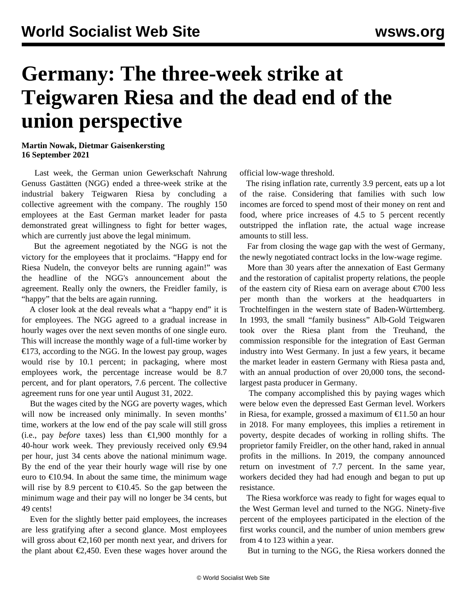## **Germany: The three-week strike at Teigwaren Riesa and the dead end of the union perspective**

## **Martin Nowak, Dietmar Gaisenkersting 16 September 2021**

 Last week, the German union Gewerkschaft Nahrung Genuss Gastätten (NGG) ended a three-week strike at the industrial bakery Teigwaren Riesa by concluding a collective agreement with the company. The roughly 150 employees at the East German market leader for pasta demonstrated great willingness to fight for better wages, which are currently just above the legal minimum.

 But the agreement negotiated by the NGG is not the victory for the employees that it proclaims. "Happy end for Riesa Nudeln, the conveyor belts are running again!" was the headline of the NGG's announcement about the agreement. Really only the owners, the Freidler family, is "happy" that the belts are again running.

 A closer look at the deal reveals what a "happy end" it is for employees. The NGG agreed to a gradual increase in hourly wages over the next seven months of one single euro. This will increase the monthly wage of a full-time worker by €173, according to the NGG. In the lowest pay group, wages would rise by 10.1 percent; in packaging, where most employees work, the percentage increase would be 8.7 percent, and for plant operators, 7.6 percent. The collective agreement runs for one year until August 31, 2022.

 But the wages cited by the NGG are poverty wages, which will now be increased only minimally. In seven months' time, workers at the low end of the pay scale will still gross (i.e., pay *before* taxes) less than  $\epsilon$ 1,900 monthly for a 40-hour work week. They previously received only  $\epsilon$ 9.94 per hour, just 34 cents above the national minimum wage. By the end of the year their hourly wage will rise by one euro to  $\epsilon$ 10.94. In about the same time, the minimum wage will rise by 8.9 percent to  $\epsilon$ 10.45. So the gap between the minimum wage and their pay will no longer be 34 cents, but 49 cents!

 Even for the slightly better paid employees, the increases are less gratifying after a second glance. Most employees will gross about  $\epsilon$ 2,160 per month next year, and drivers for the plant about  $\epsilon$ 2,450. Even these wages hover around the official low-wage threshold.

 The rising inflation rate, currently 3.9 percent, eats up a lot of the raise. Considering that families with such low incomes are forced to spend most of their money on rent and food, where price increases of 4.5 to 5 percent recently outstripped the inflation rate, the actual wage increase amounts to still less.

 Far from closing the wage gap with the west of Germany, the newly negotiated contract locks in the low-wage regime.

 More than 30 years after the annexation of East Germany and the restoration of capitalist property relations, the people of the eastern city of Riesa earn on average about €700 less per month than the workers at the headquarters in Trochtelfingen in the western state of Baden-Württemberg. In 1993, the small "family business" Alb-Gold Teigwaren took over the Riesa plant from the Treuhand, the commission responsible for the integration of East German industry into West Germany. In just a few years, it became the market leader in eastern Germany with Riesa pasta and, with an annual production of over 20,000 tons, the secondlargest pasta producer in Germany.

 The company accomplished this by paying wages which were below even the depressed East German level. Workers in Riesa, for example, grossed a maximum of €11.50 an hour in 2018. For many employees, this implies a retirement in poverty, despite decades of working in rolling shifts. The proprietor family Freidler, on the other hand, raked in annual profits in the millions. In 2019, the company announced return on investment of 7.7 percent. In the same year, workers decided they had had enough and began to put up resistance.

 The Riesa workforce was ready to fight for wages equal to the West German level and turned to the NGG. Ninety-five percent of the employees participated in the election of the first works council, and the number of union members grew from 4 to 123 within a year.

But in turning to the NGG, the Riesa workers donned the